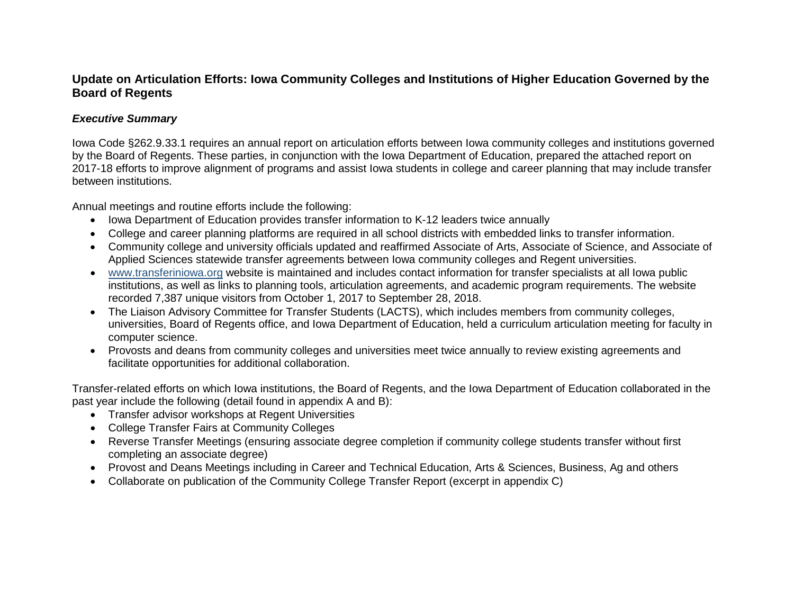## **Update on Articulation Efforts: Iowa Community Colleges and Institutions of Higher Education Governed by the Board of Regents**

#### *Executive Summary*

Iowa Code §262.9.33.1 requires an annual report on articulation efforts between Iowa community colleges and institutions governed by the Board of Regents. These parties, in conjunction with the Iowa Department of Education, prepared the attached report on 2017-18 efforts to improve alignment of programs and assist Iowa students in college and career planning that may include transfer between institutions.

Annual meetings and routine efforts include the following:

- Iowa Department of Education provides transfer information to K-12 leaders twice annually
- College and career planning platforms are required in all school districts with embedded links to transfer information.
- Community college and university officials updated and reaffirmed Associate of Arts, Associate of Science, and Associate of Applied Sciences statewide transfer agreements between Iowa community colleges and Regent universities.
- [www.transferiniowa.org](http://www.transferiniowa.org/) website is maintained and includes contact information for transfer specialists at all Iowa public institutions, as well as links to planning tools, articulation agreements, and academic program requirements. The website recorded 7,387 unique visitors from October 1, 2017 to September 28, 2018.
- The Liaison Advisory Committee for Transfer Students (LACTS), which includes members from community colleges, universities, Board of Regents office, and Iowa Department of Education, held a curriculum articulation meeting for faculty in computer science.
- Provosts and deans from community colleges and universities meet twice annually to review existing agreements and facilitate opportunities for additional collaboration.

Transfer-related efforts on which Iowa institutions, the Board of Regents, and the Iowa Department of Education collaborated in the past year include the following (detail found in appendix A and B):

- Transfer advisor workshops at Regent Universities
- College Transfer Fairs at Community Colleges
- Reverse Transfer Meetings (ensuring associate degree completion if community college students transfer without first completing an associate degree)
- Provost and Deans Meetings including in Career and Technical Education, Arts & Sciences, Business, Ag and others
- Collaborate on publication of the Community College Transfer Report (excerpt in appendix C)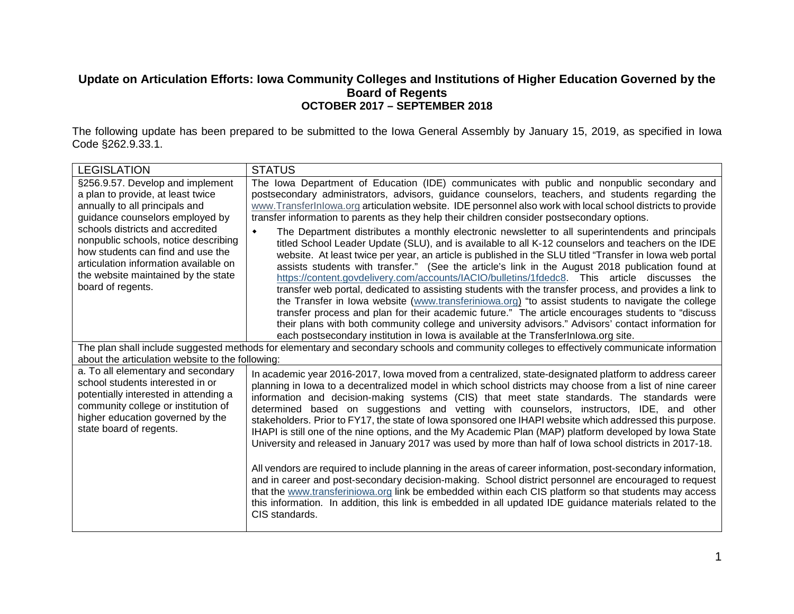### **Update on Articulation Efforts: Iowa Community Colleges and Institutions of Higher Education Governed by the Board of Regents OCTOBER 2017 – SEPTEMBER 2018**

The following update has been prepared to be submitted to the Iowa General Assembly by January 15, 2019, as specified in Iowa Code §262.9.33.1.

| <b>LEGISLATION</b>                                                                                                                                                                                                    | <b>STATUS</b>                                                                                                                                                                                                                                                                                                                                                                                                                                                                                                                                                                                                                                                                                                                                                                                                                                                                                                                                                  |  |  |  |  |  |  |  |  |
|-----------------------------------------------------------------------------------------------------------------------------------------------------------------------------------------------------------------------|----------------------------------------------------------------------------------------------------------------------------------------------------------------------------------------------------------------------------------------------------------------------------------------------------------------------------------------------------------------------------------------------------------------------------------------------------------------------------------------------------------------------------------------------------------------------------------------------------------------------------------------------------------------------------------------------------------------------------------------------------------------------------------------------------------------------------------------------------------------------------------------------------------------------------------------------------------------|--|--|--|--|--|--|--|--|
| §256.9.57. Develop and implement                                                                                                                                                                                      | The Iowa Department of Education (IDE) communicates with public and nonpublic secondary and                                                                                                                                                                                                                                                                                                                                                                                                                                                                                                                                                                                                                                                                                                                                                                                                                                                                    |  |  |  |  |  |  |  |  |
| a plan to provide, at least twice<br>annually to all principals and                                                                                                                                                   | postsecondary administrators, advisors, guidance counselors, teachers, and students regarding the<br>www.TransferInlowa.org articulation website. IDE personnel also work with local school districts to provide                                                                                                                                                                                                                                                                                                                                                                                                                                                                                                                                                                                                                                                                                                                                               |  |  |  |  |  |  |  |  |
| guidance counselors employed by                                                                                                                                                                                       | transfer information to parents as they help their children consider postsecondary options.                                                                                                                                                                                                                                                                                                                                                                                                                                                                                                                                                                                                                                                                                                                                                                                                                                                                    |  |  |  |  |  |  |  |  |
| schools districts and accredited<br>nonpublic schools, notice describing<br>how students can find and use the<br>articulation information available on<br>the website maintained by the state<br>board of regents.    | The Department distributes a monthly electronic newsletter to all superintendents and principals<br>$\bullet$<br>titled School Leader Update (SLU), and is available to all K-12 counselors and teachers on the IDE<br>website. At least twice per year, an article is published in the SLU titled "Transfer in lowa web portal<br>assists students with transfer." (See the article's link in the August 2018 publication found at<br>https://content.govdelivery.com/accounts/IACIO/bulletins/1fdedc8. This article discusses the<br>transfer web portal, dedicated to assisting students with the transfer process, and provides a link to<br>the Transfer in Iowa website (www.transferiniowa.org) "to assist students to navigate the college<br>transfer process and plan for their academic future." The article encourages students to "discuss<br>their plans with both community college and university advisors." Advisors' contact information for |  |  |  |  |  |  |  |  |
|                                                                                                                                                                                                                       | each postsecondary institution in Iowa is available at the TransferInlowa.org site.                                                                                                                                                                                                                                                                                                                                                                                                                                                                                                                                                                                                                                                                                                                                                                                                                                                                            |  |  |  |  |  |  |  |  |
| about the articulation website to the following:                                                                                                                                                                      | The plan shall include suggested methods for elementary and secondary schools and community colleges to effectively communicate information                                                                                                                                                                                                                                                                                                                                                                                                                                                                                                                                                                                                                                                                                                                                                                                                                    |  |  |  |  |  |  |  |  |
| a. To all elementary and secondary<br>school students interested in or<br>potentially interested in attending a<br>community college or institution of<br>higher education governed by the<br>state board of regents. | In academic year 2016-2017, lowa moved from a centralized, state-designated platform to address career<br>planning in lowa to a decentralized model in which school districts may choose from a list of nine career<br>information and decision-making systems (CIS) that meet state standards. The standards were<br>determined based on suggestions and vetting with counselors, instructors, IDE, and other<br>stakeholders. Prior to FY17, the state of lowa sponsored one IHAPI website which addressed this purpose.<br>IHAPI is still one of the nine options, and the My Academic Plan (MAP) platform developed by lowa State<br>University and released in January 2017 was used by more than half of lowa school districts in 2017-18.                                                                                                                                                                                                               |  |  |  |  |  |  |  |  |
|                                                                                                                                                                                                                       | All vendors are required to include planning in the areas of career information, post-secondary information,<br>and in career and post-secondary decision-making. School district personnel are encouraged to request<br>that the www.transferiniowa.org link be embedded within each CIS platform so that students may access<br>this information. In addition, this link is embedded in all updated IDE guidance materials related to the<br>CIS standards.                                                                                                                                                                                                                                                                                                                                                                                                                                                                                                  |  |  |  |  |  |  |  |  |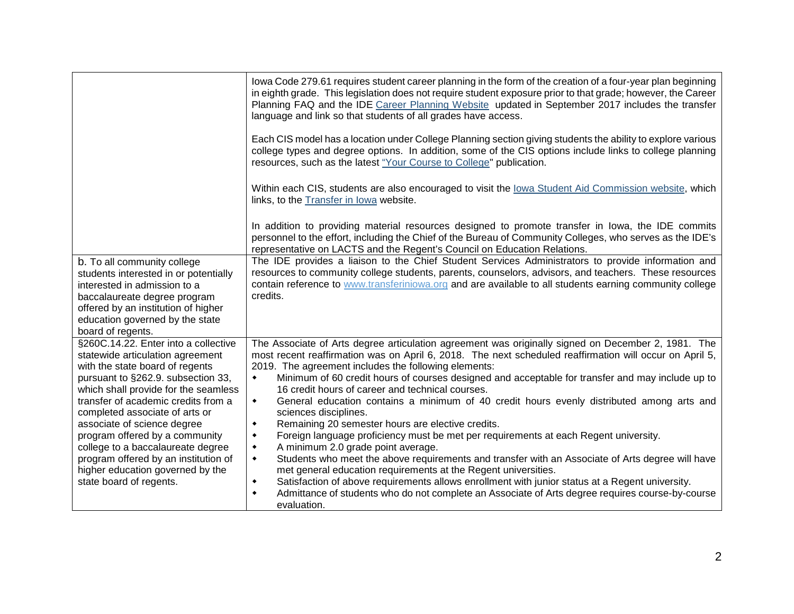|                                                                                                                                                                                                                                     | lowa Code 279.61 requires student career planning in the form of the creation of a four-year plan beginning<br>in eighth grade. This legislation does not require student exposure prior to that grade; however, the Career<br>Planning FAQ and the IDE Career Planning Website updated in September 2017 includes the transfer<br>language and link so that students of all grades have access. |  |  |  |  |  |  |  |  |
|-------------------------------------------------------------------------------------------------------------------------------------------------------------------------------------------------------------------------------------|--------------------------------------------------------------------------------------------------------------------------------------------------------------------------------------------------------------------------------------------------------------------------------------------------------------------------------------------------------------------------------------------------|--|--|--|--|--|--|--|--|
|                                                                                                                                                                                                                                     | Each CIS model has a location under College Planning section giving students the ability to explore various<br>college types and degree options. In addition, some of the CIS options include links to college planning<br>resources, such as the latest "Your Course to College" publication.                                                                                                   |  |  |  |  |  |  |  |  |
|                                                                                                                                                                                                                                     | Within each CIS, students are also encouraged to visit the lowa Student Aid Commission website, which<br>links, to the Transfer in lowa website.                                                                                                                                                                                                                                                 |  |  |  |  |  |  |  |  |
|                                                                                                                                                                                                                                     | In addition to providing material resources designed to promote transfer in lowa, the IDE commits<br>personnel to the effort, including the Chief of the Bureau of Community Colleges, who serves as the IDE's<br>representative on LACTS and the Regent's Council on Education Relations.                                                                                                       |  |  |  |  |  |  |  |  |
| b. To all community college<br>students interested in or potentially<br>interested in admission to a<br>baccalaureate degree program<br>offered by an institution of higher<br>education governed by the state<br>board of regents. | The IDE provides a liaison to the Chief Student Services Administrators to provide information and<br>resources to community college students, parents, counselors, advisors, and teachers. These resources<br>contain reference to www.transferiniowa.org and are available to all students earning community college<br>credits.                                                               |  |  |  |  |  |  |  |  |
| §260C.14.22. Enter into a collective<br>statewide articulation agreement<br>with the state board of regents                                                                                                                         | The Associate of Arts degree articulation agreement was originally signed on December 2, 1981. The<br>most recent reaffirmation was on April 6, 2018. The next scheduled reaffirmation will occur on April 5,<br>2019. The agreement includes the following elements:                                                                                                                            |  |  |  |  |  |  |  |  |
| pursuant to §262.9. subsection 33,<br>which shall provide for the seamless                                                                                                                                                          | Minimum of 60 credit hours of courses designed and acceptable for transfer and may include up to<br>$\blacklozenge$<br>16 credit hours of career and technical courses.                                                                                                                                                                                                                          |  |  |  |  |  |  |  |  |
| transfer of academic credits from a<br>completed associate of arts or<br>associate of science degree                                                                                                                                | General education contains a minimum of 40 credit hours evenly distributed among arts and<br>$\blacklozenge$<br>sciences disciplines.<br>Remaining 20 semester hours are elective credits.<br>$\blacklozenge$                                                                                                                                                                                    |  |  |  |  |  |  |  |  |
| program offered by a community<br>college to a baccalaureate degree<br>program offered by an institution of                                                                                                                         | Foreign language proficiency must be met per requirements at each Regent university.<br>$\blacklozenge$<br>A minimum 2.0 grade point average.<br>$\blacklozenge$<br>Students who meet the above requirements and transfer with an Associate of Arts degree will have<br>$\blacklozenge$                                                                                                          |  |  |  |  |  |  |  |  |
| higher education governed by the<br>state board of regents.                                                                                                                                                                         | met general education requirements at the Regent universities.<br>Satisfaction of above requirements allows enrollment with junior status at a Regent university.<br>٠<br>Admittance of students who do not complete an Associate of Arts degree requires course-by-course<br>$\blacklozenge$<br>evaluation.                                                                                     |  |  |  |  |  |  |  |  |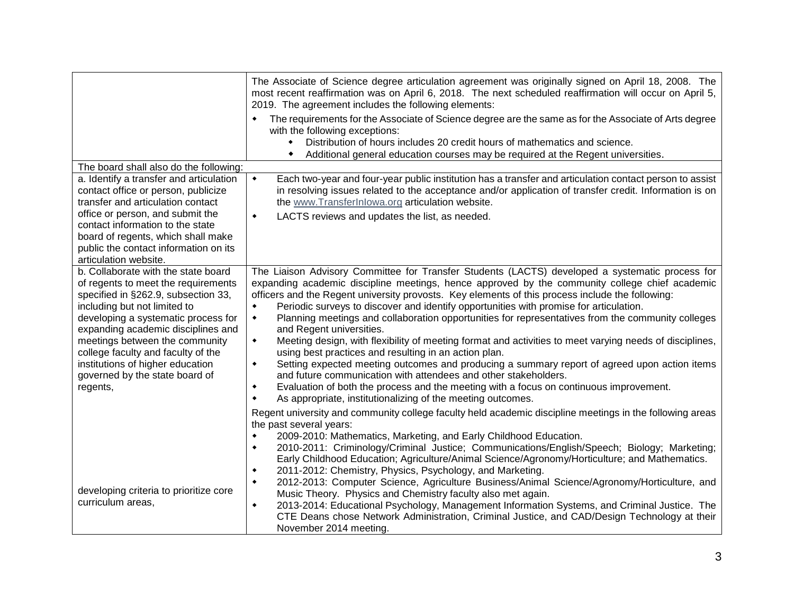|                                                                                                                                                                                                                                                                                                                                                                                          | The Associate of Science degree articulation agreement was originally signed on April 18, 2008. The<br>most recent reaffirmation was on April 6, 2018. The next scheduled reaffirmation will occur on April 5,<br>2019. The agreement includes the following elements:<br>The requirements for the Associate of Science degree are the same as for the Associate of Arts degree<br>with the following exceptions:<br>Distribution of hours includes 20 credit hours of mathematics and science.<br>٠<br>Additional general education courses may be required at the Regent universities.                                                                                                                                                                                                                                                                                                                                                                                                                                                                                                                                             |
|------------------------------------------------------------------------------------------------------------------------------------------------------------------------------------------------------------------------------------------------------------------------------------------------------------------------------------------------------------------------------------------|--------------------------------------------------------------------------------------------------------------------------------------------------------------------------------------------------------------------------------------------------------------------------------------------------------------------------------------------------------------------------------------------------------------------------------------------------------------------------------------------------------------------------------------------------------------------------------------------------------------------------------------------------------------------------------------------------------------------------------------------------------------------------------------------------------------------------------------------------------------------------------------------------------------------------------------------------------------------------------------------------------------------------------------------------------------------------------------------------------------------------------------|
| The board shall also do the following:                                                                                                                                                                                                                                                                                                                                                   |                                                                                                                                                                                                                                                                                                                                                                                                                                                                                                                                                                                                                                                                                                                                                                                                                                                                                                                                                                                                                                                                                                                                      |
| a. Identify a transfer and articulation<br>contact office or person, publicize<br>transfer and articulation contact<br>office or person, and submit the<br>contact information to the state                                                                                                                                                                                              | Each two-year and four-year public institution has a transfer and articulation contact person to assist<br>$\blacklozenge$<br>in resolving issues related to the acceptance and/or application of transfer credit. Information is on<br>the www.TransferInlowa.org articulation website.<br>LACTS reviews and updates the list, as needed.<br>$\blacklozenge$                                                                                                                                                                                                                                                                                                                                                                                                                                                                                                                                                                                                                                                                                                                                                                        |
| board of regents, which shall make<br>public the contact information on its<br>articulation website.                                                                                                                                                                                                                                                                                     |                                                                                                                                                                                                                                                                                                                                                                                                                                                                                                                                                                                                                                                                                                                                                                                                                                                                                                                                                                                                                                                                                                                                      |
| b. Collaborate with the state board<br>of regents to meet the requirements<br>specified in §262.9, subsection 33,<br>including but not limited to<br>developing a systematic process for<br>expanding academic disciplines and<br>meetings between the community<br>college faculty and faculty of the<br>institutions of higher education<br>governed by the state board of<br>regents, | The Liaison Advisory Committee for Transfer Students (LACTS) developed a systematic process for<br>expanding academic discipline meetings, hence approved by the community college chief academic<br>officers and the Regent university provosts. Key elements of this process include the following:<br>Periodic surveys to discover and identify opportunities with promise for articulation.<br>٠<br>Planning meetings and collaboration opportunities for representatives from the community colleges<br>$\blacklozenge$<br>and Regent universities.<br>Meeting design, with flexibility of meeting format and activities to meet varying needs of disciplines,<br>$\blacklozenge$<br>using best practices and resulting in an action plan.<br>Setting expected meeting outcomes and producing a summary report of agreed upon action items<br>$\blacklozenge$<br>and future communication with attendees and other stakeholders.<br>Evaluation of both the process and the meeting with a focus on continuous improvement.<br>$\blacklozenge$<br>As appropriate, institutionalizing of the meeting outcomes.<br>$\blacklozenge$ |
| developing criteria to prioritize core<br>curriculum areas,                                                                                                                                                                                                                                                                                                                              | Regent university and community college faculty held academic discipline meetings in the following areas<br>the past several years:<br>2009-2010: Mathematics, Marketing, and Early Childhood Education.<br>2010-2011: Criminology/Criminal Justice; Communications/English/Speech; Biology; Marketing;<br>$\bullet$<br>Early Childhood Education; Agriculture/Animal Science/Agronomy/Horticulture; and Mathematics.<br>2011-2012: Chemistry, Physics, Psychology, and Marketing.<br>$\blacklozenge$<br>2012-2013: Computer Science, Agriculture Business/Animal Science/Agronomy/Horticulture, and<br>٠<br>Music Theory. Physics and Chemistry faculty also met again.<br>2013-2014: Educational Psychology, Management Information Systems, and Criminal Justice. The<br>$\blacklozenge$<br>CTE Deans chose Network Administration, Criminal Justice, and CAD/Design Technology at their<br>November 2014 meeting.                                                                                                                                                                                                                |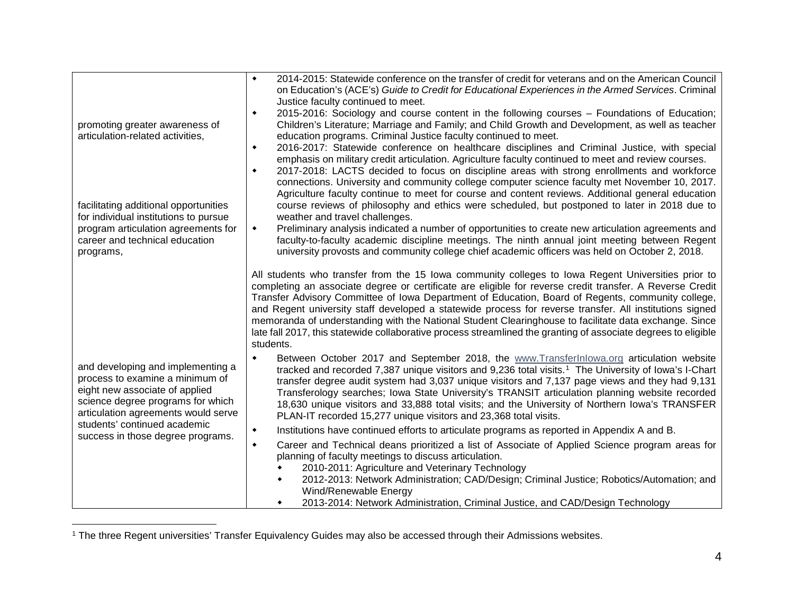<span id="page-4-0"></span>

| promoting greater awareness of<br>articulation-related activities,<br>facilitating additional opportunities<br>for individual institutions to pursue<br>program articulation agreements for | 2014-2015: Statewide conference on the transfer of credit for veterans and on the American Council<br>٠<br>on Education's (ACE's) Guide to Credit for Educational Experiences in the Armed Services. Criminal<br>Justice faculty continued to meet.<br>2015-2016: Sociology and course content in the following courses – Foundations of Education;<br>۰<br>Children's Literature; Marriage and Family; and Child Growth and Development, as well as teacher<br>education programs. Criminal Justice faculty continued to meet.<br>2016-2017: Statewide conference on healthcare disciplines and Criminal Justice, with special<br>٠<br>emphasis on military credit articulation. Agriculture faculty continued to meet and review courses.<br>2017-2018: LACTS decided to focus on discipline areas with strong enrollments and workforce<br>٠<br>connections. University and community college computer science faculty met November 10, 2017.<br>Agriculture faculty continue to meet for course and content reviews. Additional general education<br>course reviews of philosophy and ethics were scheduled, but postponed to later in 2018 due to<br>weather and travel challenges.<br>Preliminary analysis indicated a number of opportunities to create new articulation agreements and<br>٠ |
|---------------------------------------------------------------------------------------------------------------------------------------------------------------------------------------------|-----------------------------------------------------------------------------------------------------------------------------------------------------------------------------------------------------------------------------------------------------------------------------------------------------------------------------------------------------------------------------------------------------------------------------------------------------------------------------------------------------------------------------------------------------------------------------------------------------------------------------------------------------------------------------------------------------------------------------------------------------------------------------------------------------------------------------------------------------------------------------------------------------------------------------------------------------------------------------------------------------------------------------------------------------------------------------------------------------------------------------------------------------------------------------------------------------------------------------------------------------------------------------------------------------|
| career and technical education<br>programs,                                                                                                                                                 | faculty-to-faculty academic discipline meetings. The ninth annual joint meeting between Regent<br>university provosts and community college chief academic officers was held on October 2, 2018.                                                                                                                                                                                                                                                                                                                                                                                                                                                                                                                                                                                                                                                                                                                                                                                                                                                                                                                                                                                                                                                                                                    |
|                                                                                                                                                                                             | All students who transfer from the 15 lowa community colleges to lowa Regent Universities prior to<br>completing an associate degree or certificate are eligible for reverse credit transfer. A Reverse Credit<br>Transfer Advisory Committee of Iowa Department of Education, Board of Regents, community college,<br>and Regent university staff developed a statewide process for reverse transfer. All institutions signed<br>memoranda of understanding with the National Student Clearinghouse to facilitate data exchange. Since<br>late fall 2017, this statewide collaborative process streamlined the granting of associate degrees to eligible<br>students.                                                                                                                                                                                                                                                                                                                                                                                                                                                                                                                                                                                                                              |
| and developing and implementing a<br>process to examine a minimum of<br>eight new associate of applied<br>science degree programs for which<br>articulation agreements would serve          | Between October 2017 and September 2018, the www.Transferlnlowa.org articulation website<br>٠<br>tracked and recorded 7,387 unique visitors and 9,236 total visits. <sup>1</sup> The University of Iowa's I-Chart<br>transfer degree audit system had 3,037 unique visitors and 7,137 page views and they had 9,131<br>Transferology searches; Iowa State University's TRANSIT articulation planning website recorded<br>18,630 unique visitors and 33,888 total visits; and the University of Northern Iowa's TRANSFER<br>PLAN-IT recorded 15,277 unique visitors and 23,368 total visits.                                                                                                                                                                                                                                                                                                                                                                                                                                                                                                                                                                                                                                                                                                         |
| students' continued academic<br>success in those degree programs.                                                                                                                           | Institutions have continued efforts to articulate programs as reported in Appendix A and B.<br>٠<br>Career and Technical deans prioritized a list of Associate of Applied Science program areas for<br>۰<br>planning of faculty meetings to discuss articulation.                                                                                                                                                                                                                                                                                                                                                                                                                                                                                                                                                                                                                                                                                                                                                                                                                                                                                                                                                                                                                                   |
|                                                                                                                                                                                             | 2010-2011: Agriculture and Veterinary Technology<br>2012-2013: Network Administration; CAD/Design; Criminal Justice; Robotics/Automation; and<br>٠<br>Wind/Renewable Energy<br>2013-2014: Network Administration, Criminal Justice, and CAD/Design Technology                                                                                                                                                                                                                                                                                                                                                                                                                                                                                                                                                                                                                                                                                                                                                                                                                                                                                                                                                                                                                                       |

 <sup>1</sup> The three Regent universities' Transfer Equivalency Guides may also be accessed through their Admissions websites.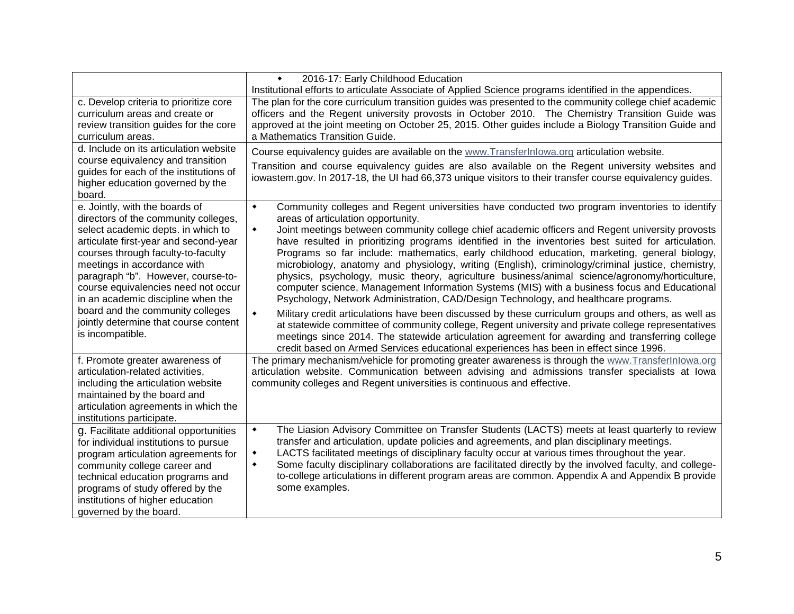|                                                                                                                                                                                                                                                                                                                                                                                                                                                | 2016-17: Early Childhood Education<br>$\blacklozenge$                                                                                                                                                                                                                                                                                                                                                                                                                                                                                                                                                                                                                                                                                                                                                                                                                                                                                                                                                                                                                                                                                                                                                                                                                                                       |
|------------------------------------------------------------------------------------------------------------------------------------------------------------------------------------------------------------------------------------------------------------------------------------------------------------------------------------------------------------------------------------------------------------------------------------------------|-------------------------------------------------------------------------------------------------------------------------------------------------------------------------------------------------------------------------------------------------------------------------------------------------------------------------------------------------------------------------------------------------------------------------------------------------------------------------------------------------------------------------------------------------------------------------------------------------------------------------------------------------------------------------------------------------------------------------------------------------------------------------------------------------------------------------------------------------------------------------------------------------------------------------------------------------------------------------------------------------------------------------------------------------------------------------------------------------------------------------------------------------------------------------------------------------------------------------------------------------------------------------------------------------------------|
| c. Develop criteria to prioritize core<br>curriculum areas and create or<br>review transition guides for the core<br>curriculum areas.<br>d. Include on its articulation website<br>course equivalency and transition<br>guides for each of the institutions of<br>higher education governed by the<br>board.                                                                                                                                  | Institutional efforts to articulate Associate of Applied Science programs identified in the appendices.<br>The plan for the core curriculum transition guides was presented to the community college chief academic<br>officers and the Regent university provosts in October 2010. The Chemistry Transition Guide was<br>approved at the joint meeting on October 25, 2015. Other guides include a Biology Transition Guide and<br>a Mathematics Transition Guide.<br>Course equivalency guides are available on the www. Transferlnlowa.org articulation website.<br>Transition and course equivalency guides are also available on the Regent university websites and<br>iowastem.gov. In 2017-18, the UI had 66,373 unique visitors to their transfer course equivalency guides.                                                                                                                                                                                                                                                                                                                                                                                                                                                                                                                        |
| e. Jointly, with the boards of<br>directors of the community colleges,<br>select academic depts. in which to<br>articulate first-year and second-year<br>courses through faculty-to-faculty<br>meetings in accordance with<br>paragraph "b". However, course-to-<br>course equivalencies need not occur<br>in an academic discipline when the<br>board and the community colleges<br>jointly determine that course content<br>is incompatible. | $\blacklozenge$<br>Community colleges and Regent universities have conducted two program inventories to identify<br>areas of articulation opportunity.<br>Joint meetings between community college chief academic officers and Regent university provosts<br>$\blacklozenge$<br>have resulted in prioritizing programs identified in the inventories best suited for articulation.<br>Programs so far include: mathematics, early childhood education, marketing, general biology,<br>microbiology, anatomy and physiology, writing (English), criminology/criminal justice, chemistry,<br>physics, psychology, music theory, agriculture business/animal science/agronomy/horticulture,<br>computer science, Management Information Systems (MIS) with a business focus and Educational<br>Psychology, Network Administration, CAD/Design Technology, and healthcare programs.<br>Military credit articulations have been discussed by these curriculum groups and others, as well as<br>$\blacklozenge$<br>at statewide committee of community college, Regent university and private college representatives<br>meetings since 2014. The statewide articulation agreement for awarding and transferring college<br>credit based on Armed Services educational experiences has been in effect since 1996. |
| f. Promote greater awareness of<br>articulation-related activities,<br>including the articulation website<br>maintained by the board and<br>articulation agreements in which the<br>institutions participate.                                                                                                                                                                                                                                  | The primary mechanism/vehicle for promoting greater awareness is through the www.TransferInlowa.org<br>articulation website. Communication between advising and admissions transfer specialists at lowa<br>community colleges and Regent universities is continuous and effective.                                                                                                                                                                                                                                                                                                                                                                                                                                                                                                                                                                                                                                                                                                                                                                                                                                                                                                                                                                                                                          |
| g. Facilitate additional opportunities<br>for individual institutions to pursue<br>program articulation agreements for<br>community college career and<br>technical education programs and<br>programs of study offered by the<br>institutions of higher education<br>governed by the board.                                                                                                                                                   | The Liasion Advisory Committee on Transfer Students (LACTS) meets at least quarterly to review<br>$\blacklozenge$<br>transfer and articulation, update policies and agreements, and plan disciplinary meetings.<br>LACTS facilitated meetings of disciplinary faculty occur at various times throughout the year.<br>٠<br>Some faculty disciplinary collaborations are facilitated directly by the involved faculty, and college-<br>٠<br>to-college articulations in different program areas are common. Appendix A and Appendix B provide<br>some examples.                                                                                                                                                                                                                                                                                                                                                                                                                                                                                                                                                                                                                                                                                                                                               |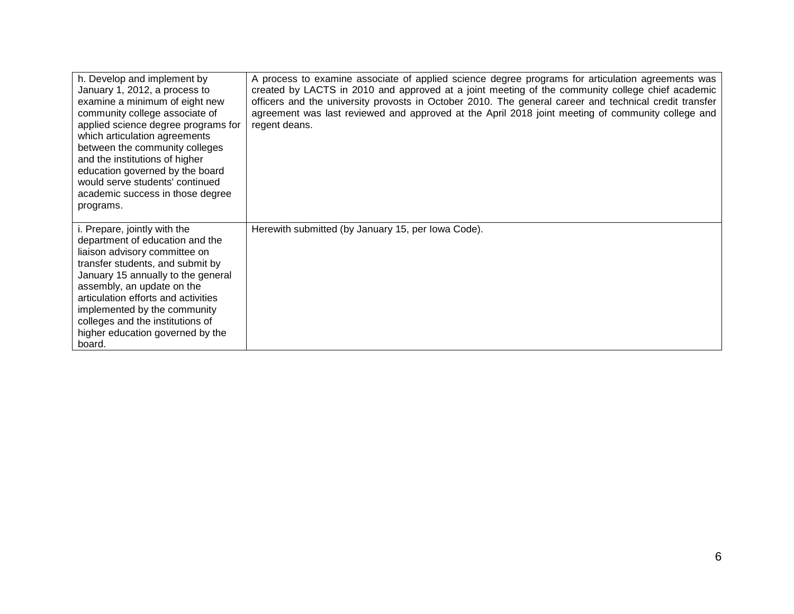| h. Develop and implement by<br>January 1, 2012, a process to<br>examine a minimum of eight new<br>community college associate of<br>applied science degree programs for<br>which articulation agreements<br>between the community colleges<br>and the institutions of higher<br>education governed by the board<br>would serve students' continued<br>academic success in those degree<br>programs. | A process to examine associate of applied science degree programs for articulation agreements was<br>created by LACTS in 2010 and approved at a joint meeting of the community college chief academic<br>officers and the university provosts in October 2010. The general career and technical credit transfer<br>agreement was last reviewed and approved at the April 2018 joint meeting of community college and<br>regent deans. |
|-----------------------------------------------------------------------------------------------------------------------------------------------------------------------------------------------------------------------------------------------------------------------------------------------------------------------------------------------------------------------------------------------------|---------------------------------------------------------------------------------------------------------------------------------------------------------------------------------------------------------------------------------------------------------------------------------------------------------------------------------------------------------------------------------------------------------------------------------------|
| i. Prepare, jointly with the<br>department of education and the<br>liaison advisory committee on<br>transfer students, and submit by<br>January 15 annually to the general<br>assembly, an update on the<br>articulation efforts and activities<br>implemented by the community<br>colleges and the institutions of<br>higher education governed by the<br>board.                                   | Herewith submitted (by January 15, per lowa Code).                                                                                                                                                                                                                                                                                                                                                                                    |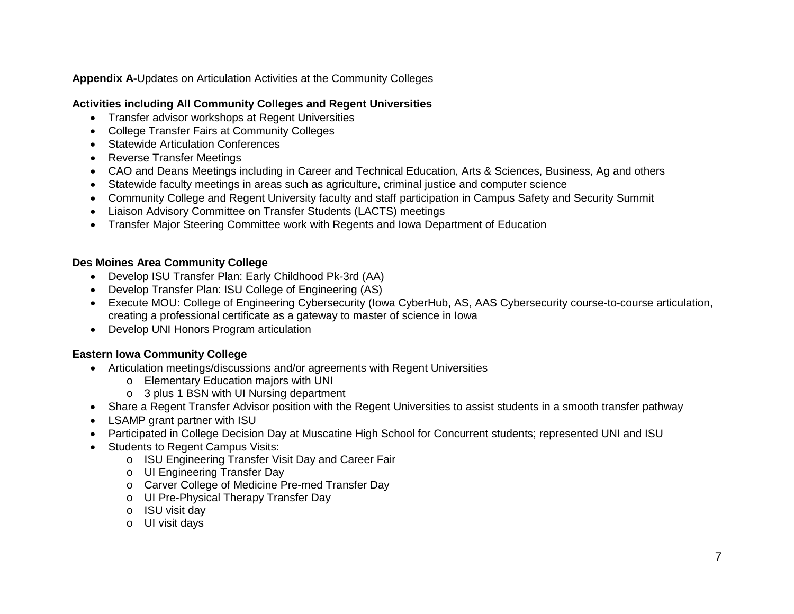**Appendix A-**Updates on Articulation Activities at the Community Colleges

# **Activities including All Community Colleges and Regent Universities**

- Transfer advisor workshops at Regent Universities
- College Transfer Fairs at Community Colleges
- Statewide Articulation Conferences
- Reverse Transfer Meetings
- CAO and Deans Meetings including in Career and Technical Education, Arts & Sciences, Business, Ag and others
- Statewide faculty meetings in areas such as agriculture, criminal justice and computer science
- Community College and Regent University faculty and staff participation in Campus Safety and Security Summit
- Liaison Advisory Committee on Transfer Students (LACTS) meetings
- Transfer Major Steering Committee work with Regents and Iowa Department of Education

## **Des Moines Area Community College**

- Develop ISU Transfer Plan: Early Childhood Pk-3rd (AA)
- Develop Transfer Plan: ISU College of Engineering (AS)
- Execute MOU: College of Engineering Cybersecurity (Iowa CyberHub, AS, AAS Cybersecurity course-to-course articulation, creating a professional certificate as a gateway to master of science in Iowa
- Develop UNI Honors Program articulation

# **Eastern Iowa Community College**

- Articulation meetings/discussions and/or agreements with Regent Universities
	- o Elementary Education majors with UNI
	- o 3 plus 1 BSN with UI Nursing department
- Share a Regent Transfer Advisor position with the Regent Universities to assist students in a smooth transfer pathway
- LSAMP grant partner with ISU
- Participated in College Decision Day at Muscatine High School for Concurrent students; represented UNI and ISU
- Students to Regent Campus Visits:
	- o ISU Engineering Transfer Visit Day and Career Fair
	- o UI Engineering Transfer Day
	- o Carver College of Medicine Pre-med Transfer Day
	- o UI Pre-Physical Therapy Transfer Day
	- o ISU visit day
	- o UI visit days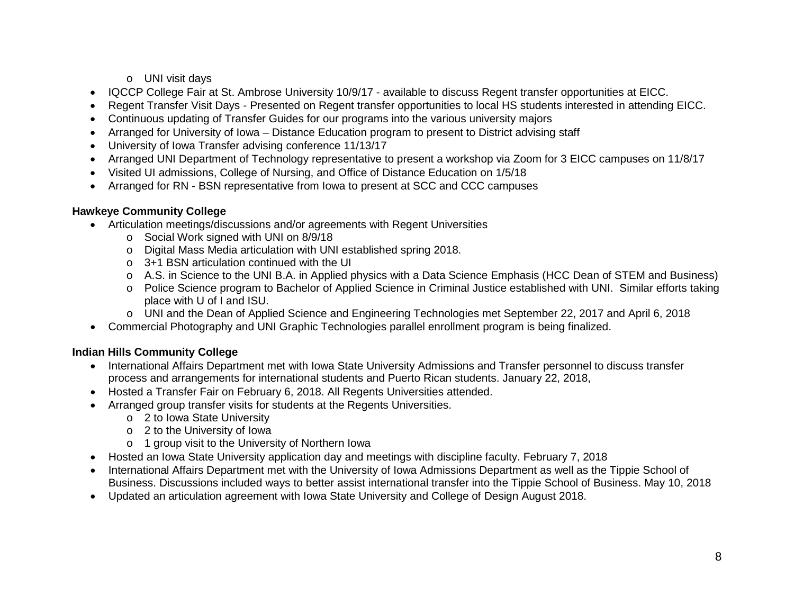o UNI visit days

- IQCCP College Fair at St. Ambrose University 10/9/17 available to discuss Regent transfer opportunities at EICC.
- Regent Transfer Visit Days Presented on Regent transfer opportunities to local HS students interested in attending EICC.
- Continuous updating of Transfer Guides for our programs into the various university majors
- Arranged for University of Iowa Distance Education program to present to District advising staff
- University of Iowa Transfer advising conference 11/13/17
- Arranged UNI Department of Technology representative to present a workshop via Zoom for 3 EICC campuses on 11/8/17
- Visited UI admissions, College of Nursing, and Office of Distance Education on 1/5/18
- Arranged for RN BSN representative from Iowa to present at SCC and CCC campuses

#### **Hawkeye Community College**

- Articulation meetings/discussions and/or agreements with Regent Universities
	- o Social Work signed with UNI on 8/9/18
	- o Digital Mass Media articulation with UNI established spring 2018.
	- o 3+1 BSN articulation continued with the UI
	- o A.S. in Science to the UNI B.A. in Applied physics with a Data Science Emphasis (HCC Dean of STEM and Business)
	- o Police Science program to Bachelor of Applied Science in Criminal Justice established with UNI. Similar efforts taking place with U of I and ISU.
	- o UNI and the Dean of Applied Science and Engineering Technologies met September 22, 2017 and April 6, 2018
- Commercial Photography and UNI Graphic Technologies parallel enrollment program is being finalized.

### **Indian Hills Community College**

- International Affairs Department met with Iowa State University Admissions and Transfer personnel to discuss transfer process and arrangements for international students and Puerto Rican students. January 22, 2018,
- Hosted a Transfer Fair on February 6, 2018. All Regents Universities attended.
- Arranged group transfer visits for students at the Regents Universities.
	- o 2 to Iowa State University
	- o 2 to the University of Iowa
	- o 1 group visit to the University of Northern Iowa
- Hosted an Iowa State University application day and meetings with discipline faculty. February 7, 2018
- International Affairs Department met with the University of Iowa Admissions Department as well as the Tippie School of Business. Discussions included ways to better assist international transfer into the Tippie School of Business. May 10, 2018
- Updated an articulation agreement with Iowa State University and College of Design August 2018.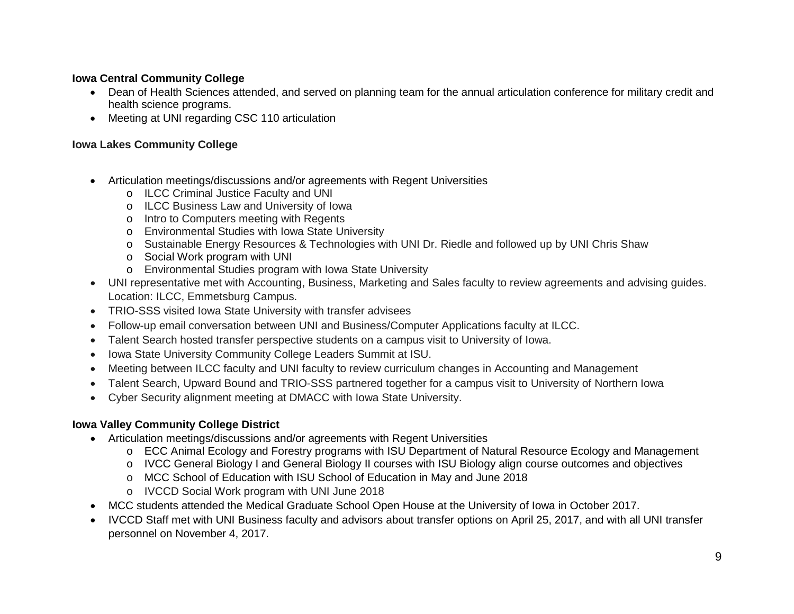# **Iowa Central Community College**

- Dean of Health Sciences attended, and served on planning team for the annual articulation conference for military credit and health science programs.
- Meeting at UNI regarding CSC 110 articulation

### **Iowa Lakes Community College**

- Articulation meetings/discussions and/or agreements with Regent Universities
	- o ILCC Criminal Justice Faculty and UNI
	- o ILCC Business Law and University of Iowa
	- o Intro to Computers meeting with Regents
	- o Environmental Studies with Iowa State University
	- o Sustainable Energy Resources & Technologies with UNI Dr. Riedle and followed up by UNI Chris Shaw
	- o Social Work program with UNI
	- o Environmental Studies program with Iowa State University
- UNI representative met with Accounting, Business, Marketing and Sales faculty to review agreements and advising guides. Location: ILCC, Emmetsburg Campus.
- TRIO-SSS visited Iowa State University with transfer advisees
- Follow-up email conversation between UNI and Business/Computer Applications faculty at ILCC.
- Talent Search hosted transfer perspective students on a campus visit to University of Iowa.
- Iowa State University Community College Leaders Summit at ISU.
- Meeting between ILCC faculty and UNI faculty to review curriculum changes in Accounting and Management
- Talent Search, Upward Bound and TRIO-SSS partnered together for a campus visit to University of Northern Iowa
- Cyber Security alignment meeting at DMACC with Iowa State University.

# **Iowa Valley Community College District**

- Articulation meetings/discussions and/or agreements with Regent Universities
	- o ECC Animal Ecology and Forestry programs with ISU Department of Natural Resource Ecology and Management
	- o IVCC General Biology I and General Biology II courses with ISU Biology align course outcomes and objectives
	- o MCC School of Education with ISU School of Education in May and June 2018
	- o IVCCD Social Work program with UNI June 2018
- MCC students attended the Medical Graduate School Open House at the University of Iowa in October 2017.
- IVCCD Staff met with UNI Business faculty and advisors about transfer options on April 25, 2017, and with all UNI transfer personnel on November 4, 2017.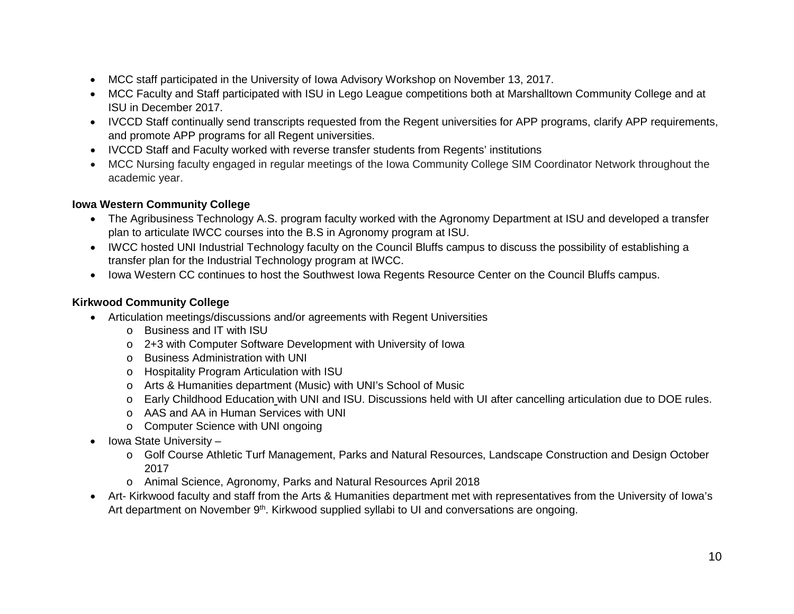- MCC staff participated in the University of Iowa Advisory Workshop on November 13, 2017.
- MCC Faculty and Staff participated with ISU in Lego League competitions both at Marshalltown Community College and at ISU in December 2017.
- IVCCD Staff continually send transcripts requested from the Regent universities for APP programs, clarify APP requirements, and promote APP programs for all Regent universities.
- IVCCD Staff and Faculty worked with reverse transfer students from Regents' institutions
- MCC Nursing faculty engaged in regular meetings of the Iowa Community College SIM Coordinator Network throughout the academic year.

## **Iowa Western Community College**

- The Agribusiness Technology A.S. program faculty worked with the Agronomy Department at ISU and developed a transfer plan to articulate IWCC courses into the B.S in Agronomy program at ISU.
- IWCC hosted UNI Industrial Technology faculty on the Council Bluffs campus to discuss the possibility of establishing a transfer plan for the Industrial Technology program at IWCC.
- Iowa Western CC continues to host the Southwest Iowa Regents Resource Center on the Council Bluffs campus.

# **Kirkwood Community College**

- Articulation meetings/discussions and/or agreements with Regent Universities
	- o Business and IT with ISU
	- o 2+3 with Computer Software Development with University of Iowa
	- o Business Administration with UNI
	- o Hospitality Program Articulation with ISU
	- o Arts & Humanities department (Music) with UNI's School of Music
	- o Early Childhood Education with UNI and ISU. Discussions held with UI after cancelling articulation due to DOE rules.
	- o AAS and AA in Human Services with UNI
	- o Computer Science with UNI ongoing
- Iowa State University
	- o Golf Course Athletic Turf Management, Parks and Natural Resources, Landscape Construction and Design October 2017
	- o Animal Science, Agronomy, Parks and Natural Resources April 2018
- Art- Kirkwood faculty and staff from the Arts & Humanities department met with representatives from the University of Iowa's Art department on November 9<sup>th</sup>. Kirkwood supplied syllabi to UI and conversations are ongoing.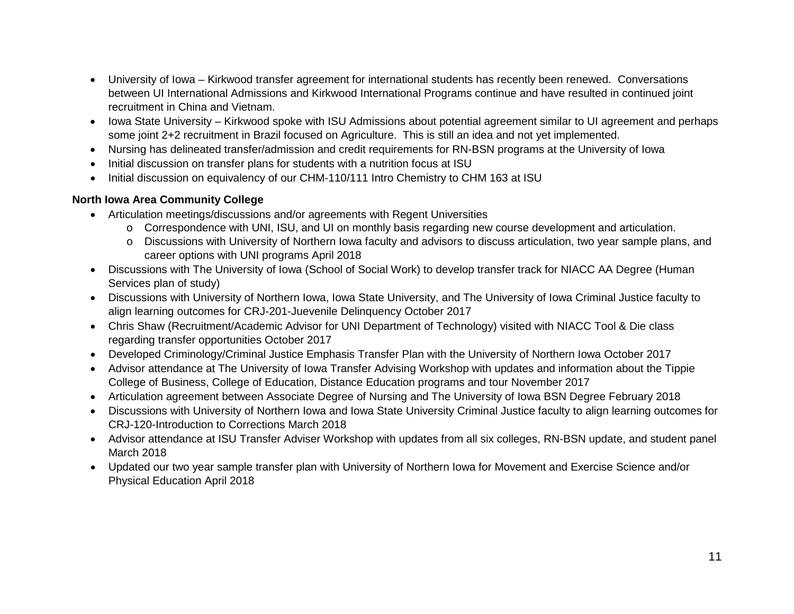- University of Iowa Kirkwood transfer agreement for international students has recently been renewed. Conversations between UI International Admissions and Kirkwood International Programs continue and have resulted in continued joint recruitment in China and Vietnam.
- Iowa State University Kirkwood spoke with ISU Admissions about potential agreement similar to UI agreement and perhaps some joint 2+2 recruitment in Brazil focused on Agriculture. This is still an idea and not yet implemented.
- Nursing has delineated transfer/admission and credit requirements for RN-BSN programs at the University of Iowa
- Initial discussion on transfer plans for students with a nutrition focus at ISU
- Initial discussion on equivalency of our CHM-110/111 Intro Chemistry to CHM 163 at ISU

## **North Iowa Area Community College**

- Articulation meetings/discussions and/or agreements with Regent Universities
	- o Correspondence with UNI, ISU, and UI on monthly basis regarding new course development and articulation.
	- o Discussions with University of Northern Iowa faculty and advisors to discuss articulation, two year sample plans, and career options with UNI programs April 2018
- Discussions with The University of Iowa (School of Social Work) to develop transfer track for NIACC AA Degree (Human Services plan of study)
- Discussions with University of Northern Iowa, Iowa State University, and The University of Iowa Criminal Justice faculty to align learning outcomes for CRJ-201-Juevenile Delinquency October 2017
- Chris Shaw (Recruitment/Academic Advisor for UNI Department of Technology) visited with NIACC Tool & Die class regarding transfer opportunities October 2017
- Developed Criminology/Criminal Justice Emphasis Transfer Plan with the University of Northern Iowa October 2017
- Advisor attendance at The University of Iowa Transfer Advising Workshop with updates and information about the Tippie College of Business, College of Education, Distance Education programs and tour November 2017
- Articulation agreement between Associate Degree of Nursing and The University of Iowa BSN Degree February 2018
- Discussions with University of Northern Iowa and Iowa State University Criminal Justice faculty to align learning outcomes for CRJ-120-Introduction to Corrections March 2018
- Advisor attendance at ISU Transfer Adviser Workshop with updates from all six colleges, RN-BSN update, and student panel March 2018
- Updated our two year sample transfer plan with University of Northern Iowa for Movement and Exercise Science and/or Physical Education April 2018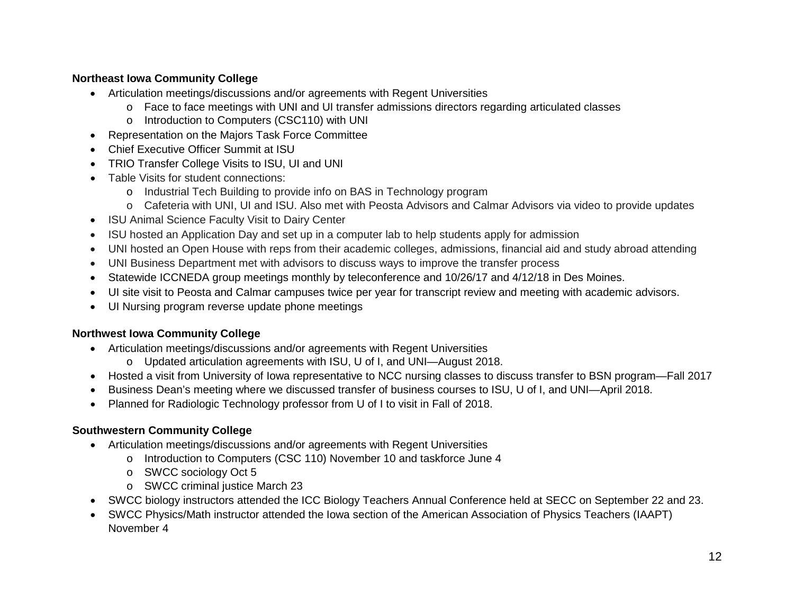# **Northeast Iowa Community College**

- Articulation meetings/discussions and/or agreements with Regent Universities
	- o Face to face meetings with UNI and UI transfer admissions directors regarding articulated classes
	- o Introduction to Computers (CSC110) with UNI
- Representation on the Majors Task Force Committee
- Chief Executive Officer Summit at ISU
- TRIO Transfer College Visits to ISU, UI and UNI
- Table Visits for student connections:
	- o Industrial Tech Building to provide info on BAS in Technology program
	- o Cafeteria with UNI, UI and ISU. Also met with Peosta Advisors and Calmar Advisors via video to provide updates
- ISU Animal Science Faculty Visit to Dairy Center
- ISU hosted an Application Day and set up in a computer lab to help students apply for admission
- UNI hosted an Open House with reps from their academic colleges, admissions, financial aid and study abroad attending
- UNI Business Department met with advisors to discuss ways to improve the transfer process
- Statewide ICCNEDA group meetings monthly by teleconference and 10/26/17 and 4/12/18 in Des Moines.
- UI site visit to Peosta and Calmar campuses twice per year for transcript review and meeting with academic advisors.
- UI Nursing program reverse update phone meetings

### **Northwest Iowa Community College**

- Articulation meetings/discussions and/or agreements with Regent Universities
	- o Updated articulation agreements with ISU, U of I, and UNI—August 2018.
- Hosted a visit from University of Iowa representative to NCC nursing classes to discuss transfer to BSN program—Fall 2017
- Business Dean's meeting where we discussed transfer of business courses to ISU, U of I, and UNI—April 2018.
- Planned for Radiologic Technology professor from U of I to visit in Fall of 2018.

### **Southwestern Community College**

- Articulation meetings/discussions and/or agreements with Regent Universities
	- o Introduction to Computers (CSC 110) November 10 and taskforce June 4
	- o SWCC sociology Oct 5
	- o SWCC criminal justice March 23
- SWCC biology instructors attended the ICC Biology Teachers Annual Conference held at SECC on September 22 and 23.
- SWCC Physics/Math instructor attended the Iowa section of the American Association of Physics Teachers (IAAPT) November 4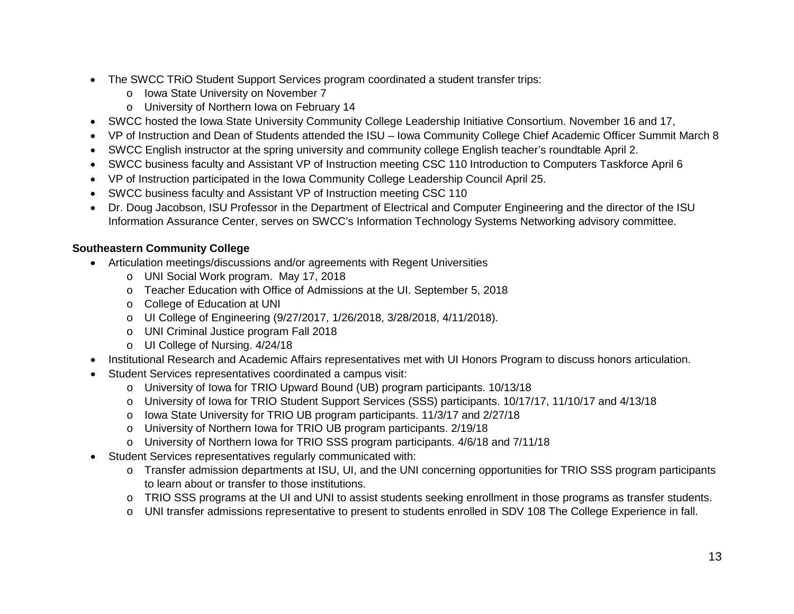- The SWCC TRIO Student Support Services program coordinated a student transfer trips:
	- o Iowa State University on November 7
	- o University of Northern Iowa on February 14
- SWCC hosted the Iowa State University Community College Leadership Initiative Consortium. November 16 and 17,
- VP of Instruction and Dean of Students attended the ISU Iowa Community College Chief Academic Officer Summit March 8
- SWCC English instructor at the spring university and community college English teacher's roundtable April 2.
- SWCC business faculty and Assistant VP of Instruction meeting CSC 110 Introduction to Computers Taskforce April 6
- VP of Instruction participated in the Iowa Community College Leadership Council April 25.
- SWCC business faculty and Assistant VP of Instruction meeting CSC 110
- Dr. Doug Jacobson, ISU Professor in the Department of Electrical and Computer Engineering and the director of the ISU Information Assurance Center, serves on SWCC's Information Technology Systems Networking advisory committee.

#### **Southeastern Community College**

- Articulation meetings/discussions and/or agreements with Regent Universities
	- o UNI Social Work program. May 17, 2018
	- o Teacher Education with Office of Admissions at the UI. September 5, 2018
	- o College of Education at UNI
	- o UI College of Engineering (9/27/2017, 1/26/2018, 3/28/2018, 4/11/2018).
	- o UNI Criminal Justice program Fall 2018
	- o UI College of Nursing. 4/24/18
- Institutional Research and Academic Affairs representatives met with UI Honors Program to discuss honors articulation.
- Student Services representatives coordinated a campus visit:
	- o University of Iowa for TRIO Upward Bound (UB) program participants. 10/13/18
	- o University of Iowa for TRIO Student Support Services (SSS) participants. 10/17/17, 11/10/17 and 4/13/18
	- o Iowa State University for TRIO UB program participants. 11/3/17 and 2/27/18
	- o University of Northern Iowa for TRIO UB program participants. 2/19/18
	- o University of Northern Iowa for TRIO SSS program participants. 4/6/18 and 7/11/18
- Student Services representatives regularly communicated with:
	- o Transfer admission departments at ISU, UI, and the UNI concerning opportunities for TRIO SSS program participants to learn about or transfer to those institutions.
	- o TRIO SSS programs at the UI and UNI to assist students seeking enrollment in those programs as transfer students.
	- o UNI transfer admissions representative to present to students enrolled in SDV 108 The College Experience in fall.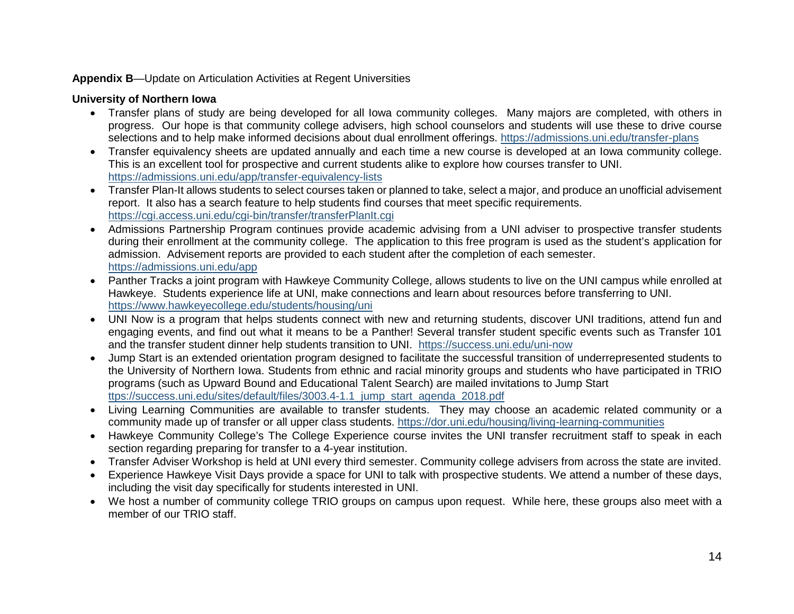#### **Appendix B**—Update on Articulation Activities at Regent Universities

# **University of Northern Iowa**

- Transfer plans of study are being developed for all Iowa community colleges. Many majors are completed, with others in progress. Our hope is that community college advisers, high school counselors and students will use these to drive course selections and to help make informed decisions about dual enrollment offerings.<https://admissions.uni.edu/transfer-plans>
- Transfer equivalency sheets are updated annually and each time a new course is developed at an Iowa community college. This is an excellent tool for prospective and current students alike to explore how courses transfer to UNI. <https://admissions.uni.edu/app/transfer-equivalency-lists>
- Transfer Plan-It allows students to select courses taken or planned to take, select a major, and produce an unofficial advisement report. It also has a search feature to help students find courses that meet specific requirements. <https://cgi.access.uni.edu/cgi-bin/transfer/transferPlanIt.cgi>
- Admissions Partnership Program continues provide academic advising from a UNI adviser to prospective transfer students during their enrollment at the community college. The application to this free program is used as the student's application for admission. Advisement reports are provided to each student after the completion of each semester. <https://admissions.uni.edu/app>
- Panther Tracks a joint program with Hawkeye Community College, allows students to live on the UNI campus while enrolled at Hawkeye. Students experience life at UNI, make connections and learn about resources before transferring to UNI. <https://www.hawkeyecollege.edu/students/housing/uni>
- UNI Now is a program that helps students connect with new and returning students, discover UNI traditions, attend fun and engaging events, and find out what it means to be a Panther! Several transfer student specific events such as Transfer 101 and the transfer student dinner help students transition to UNI. <https://success.uni.edu/uni-now>
- Jump Start is an extended orientation program designed to facilitate the successful transition of underrepresented students to the University of Northern Iowa. Students from ethnic and racial minority groups and students who have participated in TRIO programs (such as Upward Bound and Educational Talent Search) are mailed invitations to Jump Start [ttps://success.uni.edu/sites/default/files/3003.4-1.1\\_jump\\_start\\_agenda\\_2018.pdf](ttps://success.uni.edu/sites/default/files/3003.4-1.1_jump_start_agenda_2018.pdf)
- Living Learning Communities are available to transfer students. They may choose an academic related community or a community made up of transfer or all upper class students. <https://dor.uni.edu/housing/living-learning-communities>
- Hawkeye Community College's The College Experience course invites the UNI transfer recruitment staff to speak in each section regarding preparing for transfer to a 4-year institution.
- Transfer Adviser Workshop is held at UNI every third semester. Community college advisers from across the state are invited.
- Experience Hawkeye Visit Days provide a space for UNI to talk with prospective students. We attend a number of these days, including the visit day specifically for students interested in UNI.
- We host a number of community college TRIO groups on campus upon request. While here, these groups also meet with a member of our TRIO staff.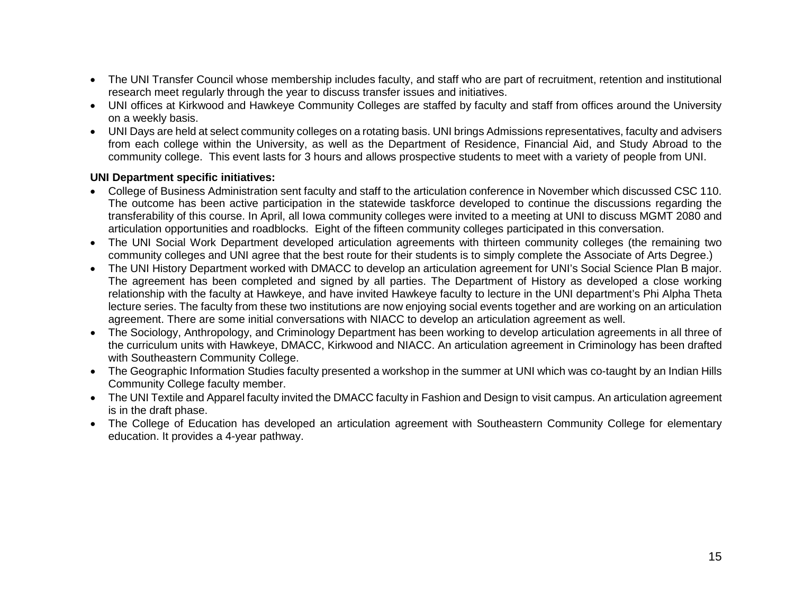- The UNI Transfer Council whose membership includes faculty, and staff who are part of recruitment, retention and institutional research meet regularly through the year to discuss transfer issues and initiatives.
- UNI offices at Kirkwood and Hawkeye Community Colleges are staffed by faculty and staff from offices around the University on a weekly basis.
- UNI Days are held at select community colleges on a rotating basis. UNI brings Admissions representatives, faculty and advisers from each college within the University, as well as the Department of Residence, Financial Aid, and Study Abroad to the community college. This event lasts for 3 hours and allows prospective students to meet with a variety of people from UNI.

#### **UNI Department specific initiatives:**

- College of Business Administration sent faculty and staff to the articulation conference in November which discussed CSC 110. The outcome has been active participation in the statewide taskforce developed to continue the discussions regarding the transferability of this course. In April, all Iowa community colleges were invited to a meeting at UNI to discuss MGMT 2080 and articulation opportunities and roadblocks. Eight of the fifteen community colleges participated in this conversation.
- The UNI Social Work Department developed articulation agreements with thirteen community colleges (the remaining two community colleges and UNI agree that the best route for their students is to simply complete the Associate of Arts Degree.)
- The UNI History Department worked with DMACC to develop an articulation agreement for UNI's Social Science Plan B major. The agreement has been completed and signed by all parties. The Department of History as developed a close working relationship with the faculty at Hawkeye, and have invited Hawkeye faculty to lecture in the UNI department's Phi Alpha Theta lecture series. The faculty from these two institutions are now enjoying social events together and are working on an articulation agreement. There are some initial conversations with NIACC to develop an articulation agreement as well.
- The Sociology, Anthropology, and Criminology Department has been working to develop articulation agreements in all three of the curriculum units with Hawkeye, DMACC, Kirkwood and NIACC. An articulation agreement in Criminology has been drafted with Southeastern Community College.
- The Geographic Information Studies faculty presented a workshop in the summer at UNI which was co-taught by an Indian Hills Community College faculty member.
- The UNI Textile and Apparel faculty invited the DMACC faculty in Fashion and Design to visit campus. An articulation agreement is in the draft phase.
- The College of Education has developed an articulation agreement with Southeastern Community College for elementary education. It provides a 4-year pathway.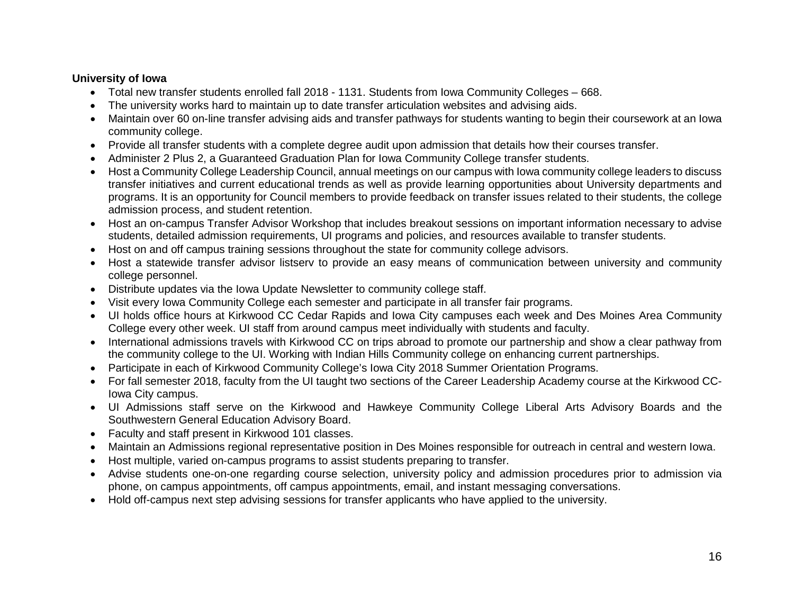#### **University of Iowa**

- Total new transfer students enrolled fall 2018 1131. Students from Iowa Community Colleges 668.
- The university works hard to maintain up to date transfer articulation websites and advising aids.
- Maintain over 60 on-line transfer advising aids and transfer pathways for students wanting to begin their coursework at an Iowa community college.
- Provide all transfer students with a complete degree audit upon admission that details how their courses transfer.
- Administer 2 Plus 2, a Guaranteed Graduation Plan for Iowa Community College transfer students.
- Host a Community College Leadership Council, annual meetings on our campus with Iowa community college leaders to discuss transfer initiatives and current educational trends as well as provide learning opportunities about University departments and programs. It is an opportunity for Council members to provide feedback on transfer issues related to their students, the college admission process, and student retention.
- Host an on-campus Transfer Advisor Workshop that includes breakout sessions on important information necessary to advise students, detailed admission requirements, UI programs and policies, and resources available to transfer students.
- Host on and off campus training sessions throughout the state for community college advisors.
- Host a statewide transfer advisor listserv to provide an easy means of communication between university and community college personnel.
- Distribute updates via the Iowa Update Newsletter to community college staff.
- Visit every Iowa Community College each semester and participate in all transfer fair programs.
- UI holds office hours at Kirkwood CC Cedar Rapids and Iowa City campuses each week and Des Moines Area Community College every other week. UI staff from around campus meet individually with students and faculty.
- International admissions travels with Kirkwood CC on trips abroad to promote our partnership and show a clear pathway from the community college to the UI. Working with Indian Hills Community college on enhancing current partnerships.
- Participate in each of Kirkwood Community College's Iowa City 2018 Summer Orientation Programs.
- For fall semester 2018, faculty from the UI taught two sections of the Career Leadership Academy course at the Kirkwood CC-Iowa City campus.
- UI Admissions staff serve on the Kirkwood and Hawkeye Community College Liberal Arts Advisory Boards and the Southwestern General Education Advisory Board.
- Faculty and staff present in Kirkwood 101 classes.
- Maintain an Admissions regional representative position in Des Moines responsible for outreach in central and western Iowa.
- Host multiple, varied on-campus programs to assist students preparing to transfer.
- Advise students one-on-one regarding course selection, university policy and admission procedures prior to admission via phone, on campus appointments, off campus appointments, email, and instant messaging conversations.
- Hold off-campus next step advising sessions for transfer applicants who have applied to the university.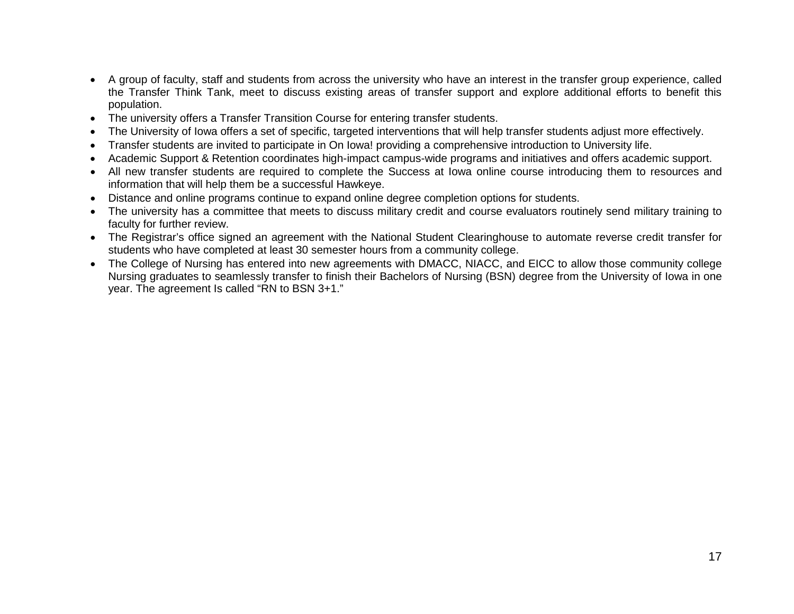- A group of faculty, staff and students from across the university who have an interest in the transfer group experience, called the Transfer Think Tank, meet to discuss existing areas of transfer support and explore additional efforts to benefit this population.
- The university offers a Transfer Transition Course for entering transfer students.
- The University of Iowa offers a set of specific, targeted interventions that will help transfer students adjust more effectively.
- Transfer students are invited to participate in On Iowa! providing a comprehensive introduction to University life.
- Academic Support & Retention coordinates high-impact campus-wide programs and initiatives and offers academic support.
- All new transfer students are required to complete the Success at Iowa online course introducing them to resources and information that will help them be a successful Hawkeye.
- Distance and online programs continue to expand online degree completion options for students.
- The university has a committee that meets to discuss military credit and course evaluators routinely send military training to faculty for further review.
- The Registrar's office signed an agreement with the National Student Clearinghouse to automate reverse credit transfer for students who have completed at least 30 semester hours from a community college.
- The College of Nursing has entered into new agreements with DMACC, NIACC, and EICC to allow those community college Nursing graduates to seamlessly transfer to finish their Bachelors of Nursing (BSN) degree from the University of Iowa in one year. The agreement Is called "RN to BSN 3+1."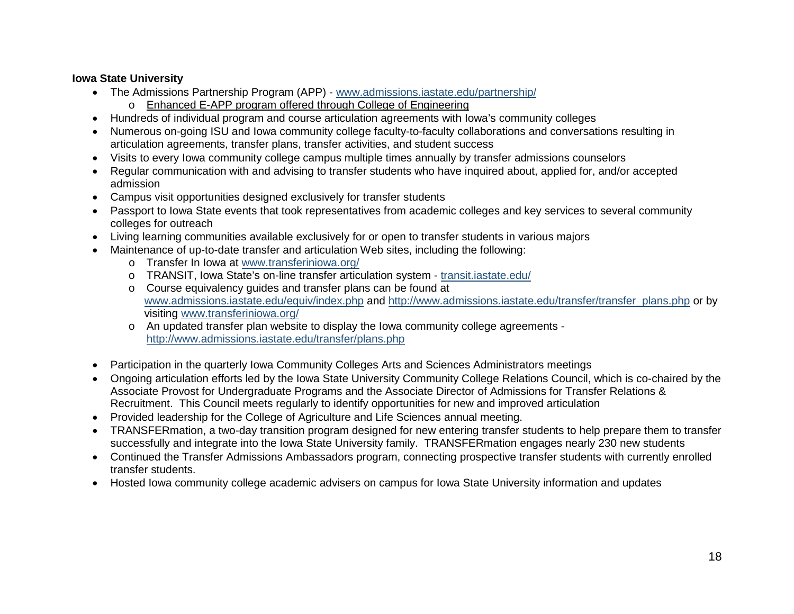### **Iowa State University**

- The Admissions Partnership Program (APP) [www.admissions.iastate.edu/partnership/](http://www.admissions.iastate.edu/partnership/)
	- o Enhanced E-APP program offered through College of Engineering
- Hundreds of individual program and course articulation agreements with Iowa's community colleges
- Numerous on-going ISU and Iowa community college faculty-to-faculty collaborations and conversations resulting in articulation agreements, transfer plans, transfer activities, and student success
- Visits to every Iowa community college campus multiple times annually by transfer admissions counselors
- Regular communication with and advising to transfer students who have inquired about, applied for, and/or accepted admission
- Campus visit opportunities designed exclusively for transfer students
- Passport to Iowa State events that took representatives from academic colleges and key services to several community colleges for outreach
- Living learning communities available exclusively for or open to transfer students in various majors
- Maintenance of up-to-date transfer and articulation Web sites, including the following:
	- o Transfer In Iowa at [www.transferiniowa.org/](http://www.transferiniowa.org/)
	- o TRANSIT, Iowa State's on-line transfer articulation system [transit.iastate.edu/](https://transit.iastate.edu/)
	- o Course equivalency guides and transfer plans can be found at [www.admissions.iastate.edu/equiv/index.php](http://www.admissions.iastate.edu/equiv/index.php) and [http://www.admissions.iastate.edu/transfer/transfer\\_plans.php](http://www.admissions.iastate.edu/transfer/transfer_plans.php) or by visiting [www.transferiniowa.org/](http://www.transferiniowa.org/)
	- o An updated transfer plan website to display the Iowa community college agreements <http://www.admissions.iastate.edu/transfer/plans.php>
- Participation in the quarterly Iowa Community Colleges Arts and Sciences Administrators meetings
- Ongoing articulation efforts led by the Iowa State University Community College Relations Council, which is co-chaired by the Associate Provost for Undergraduate Programs and the Associate Director of Admissions for Transfer Relations & Recruitment. This Council meets regularly to identify opportunities for new and improved articulation
- Provided leadership for the College of Agriculture and Life Sciences annual meeting.
- TRANSFERmation, a two-day transition program designed for new entering transfer students to help prepare them to transfer successfully and integrate into the Iowa State University family. TRANSFERmation engages nearly 230 new students
- Continued the Transfer Admissions Ambassadors program, connecting prospective transfer students with currently enrolled transfer students.
- Hosted Iowa community college academic advisers on campus for Iowa State University information and updates